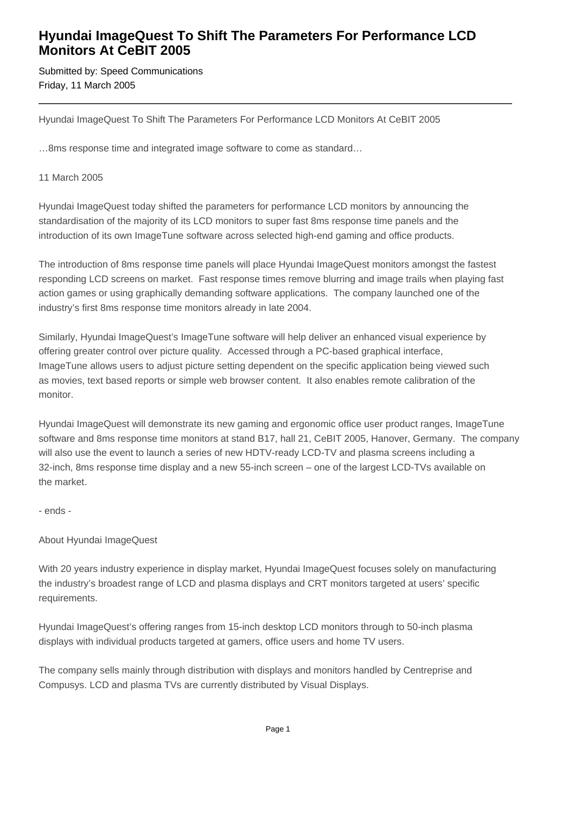## **Hyundai ImageQuest To Shift The Parameters For Performance LCD Monitors At CeBIT 2005**

Submitted by: Speed Communications Friday, 11 March 2005

Hyundai ImageQuest To Shift The Parameters For Performance LCD Monitors At CeBIT 2005

…8ms response time and integrated image software to come as standard…

## 11 March 2005

Hyundai ImageQuest today shifted the parameters for performance LCD monitors by announcing the standardisation of the majority of its LCD monitors to super fast 8ms response time panels and the introduction of its own ImageTune software across selected high-end gaming and office products.

The introduction of 8ms response time panels will place Hyundai ImageQuest monitors amongst the fastest responding LCD screens on market. Fast response times remove blurring and image trails when playing fast action games or using graphically demanding software applications. The company launched one of the industry's first 8ms response time monitors already in late 2004.

Similarly, Hyundai ImageQuest's ImageTune software will help deliver an enhanced visual experience by offering greater control over picture quality. Accessed through a PC-based graphical interface, ImageTune allows users to adjust picture setting dependent on the specific application being viewed such as movies, text based reports or simple web browser content. It also enables remote calibration of the monitor.

Hyundai ImageQuest will demonstrate its new gaming and ergonomic office user product ranges, ImageTune software and 8ms response time monitors at stand B17, hall 21, CeBIT 2005, Hanover, Germany. The company will also use the event to launch a series of new HDTV-ready LCD-TV and plasma screens including a 32-inch, 8ms response time display and a new 55-inch screen – one of the largest LCD-TVs available on the market.

- ends -

## About Hyundai ImageQuest

With 20 years industry experience in display market, Hyundai ImageQuest focuses solely on manufacturing the industry's broadest range of LCD and plasma displays and CRT monitors targeted at users' specific requirements.

Hyundai ImageQuest's offering ranges from 15-inch desktop LCD monitors through to 50-inch plasma displays with individual products targeted at gamers, office users and home TV users.

The company sells mainly through distribution with displays and monitors handled by Centreprise and Compusys. LCD and plasma TVs are currently distributed by Visual Displays.